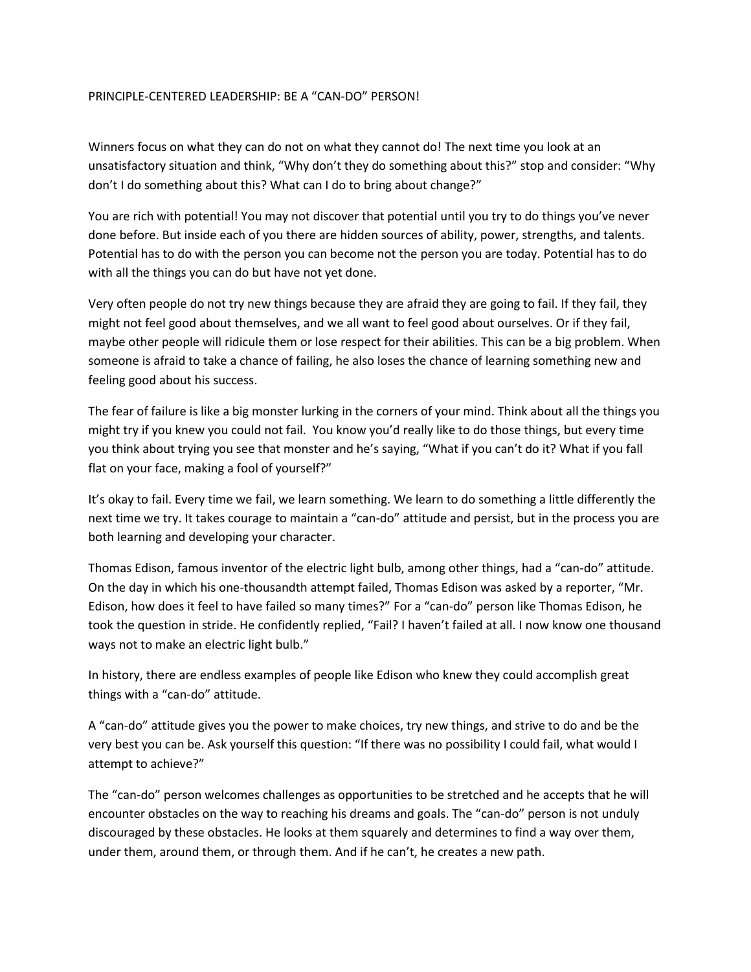## PRINCIPLE-CENTERED LEADERSHIP: BE A "CAN-DO" PERSON!

Winners focus on what they can do not on what they cannot do! The next time you look at an unsatisfactory situation and think, "Why don't they do something about this?" stop and consider: "Why don't I do something about this? What can I do to bring about change?"

You are rich with potential! You may not discover that potential until you try to do things you've never done before. But inside each of you there are hidden sources of ability, power, strengths, and talents. Potential has to do with the person you can become not the person you are today. Potential has to do with all the things you can do but have not yet done.

Very often people do not try new things because they are afraid they are going to fail. If they fail, they might not feel good about themselves, and we all want to feel good about ourselves. Or if they fail, maybe other people will ridicule them or lose respect for their abilities. This can be a big problem. When someone is afraid to take a chance of failing, he also loses the chance of learning something new and feeling good about his success.

The fear of failure is like a big monster lurking in the corners of your mind. Think about all the things you might try if you knew you could not fail. You know you'd really like to do those things, but every time you think about trying you see that monster and he's saying, "What if you can't do it? What if you fall flat on your face, making a fool of yourself?"

It's okay to fail. Every time we fail, we learn something. We learn to do something a little differently the next time we try. It takes courage to maintain a "can-do" attitude and persist, but in the process you are both learning and developing your character.

Thomas Edison, famous inventor of the electric light bulb, among other things, had a "can-do" attitude. On the day in which his one-thousandth attempt failed, Thomas Edison was asked by a reporter, "Mr. Edison, how does it feel to have failed so many times?" For a "can-do" person like Thomas Edison, he took the question in stride. He confidently replied, "Fail? I haven't failed at all. I now know one thousand ways not to make an electric light bulb."

In history, there are endless examples of people like Edison who knew they could accomplish great things with a "can-do" attitude.

A "can-do" attitude gives you the power to make choices, try new things, and strive to do and be the very best you can be. Ask yourself this question: "If there was no possibility I could fail, what would I attempt to achieve?"

The "can-do" person welcomes challenges as opportunities to be stretched and he accepts that he will encounter obstacles on the way to reaching his dreams and goals. The "can-do" person is not unduly discouraged by these obstacles. He looks at them squarely and determines to find a way over them, under them, around them, or through them. And if he can't, he creates a new path.